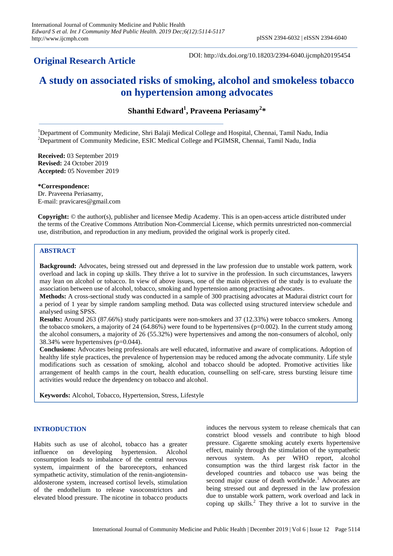## **Original Research Article**

DOI: http://dx.doi.org/10.18203/2394-6040.ijcmph20195454

# **A study on associated risks of smoking, alcohol and smokeless tobacco on hypertension among advocates**

**Shanthi Edward<sup>1</sup> , Praveena Periasamy<sup>2</sup> \***

<sup>1</sup>Department of Community Medicine, Shri Balaji Medical College and Hospital, Chennai, Tamil Nadu, India <sup>2</sup>Department of Community Medicine, ESIC Medical College and PGIMSR, Chennai, Tamil Nadu, India

**Received:** 03 September 2019 **Revised:** 24 October 2019 **Accepted:** 05 November 2019

**\*Correspondence:** Dr. Praveena Periasamy, E-mail: pravicares@gmail.com

**Copyright:** © the author(s), publisher and licensee Medip Academy. This is an open-access article distributed under the terms of the Creative Commons Attribution Non-Commercial License, which permits unrestricted non-commercial use, distribution, and reproduction in any medium, provided the original work is properly cited.

## **ABSTRACT**

**Background:** Advocates, being stressed out and depressed in the law profession due to unstable work pattern, work overload and lack in coping up skills. They thrive a lot to survive in the profession. In such circumstances, lawyers may lean on alcohol or tobacco. In view of above issues, one of the main objectives of the study is to evaluate the association between use of alcohol, tobacco, smoking and hypertension among practising advocates.

**Methods:** A cross-sectional study was conducted in a sample of 300 practising advocates at Madurai district court for a period of 1 year by simple random sampling method. Data was collected using structured interview schedule and analysed using SPSS.

**Results:** Around 263 (87.66%) study participants were non-smokers and 37 (12.33%) were tobacco smokers. Among the tobacco smokers, a majority of 24 (64.86%) were found to be hypertensives ( $p=0.002$ ). In the current study among the alcohol consumers, a majority of 26 (55.32%) were hypertensives and among the non-consumers of alcohol, only 38.34% were hypertensives (p=0.044).

**Conclusions:** Advocates being professionals are well educated, informative and aware of complications. Adoption of healthy life style practices, the prevalence of hypertension may be reduced among the advocate community. Life style modifications such as cessation of smoking, alcohol and tobacco should be adopted. Promotive activities like arrangement of health camps in the court, health education, counselling on self-care, stress bursting leisure time activities would reduce the dependency on tobacco and alcohol.

**Keywords:** Alcohol, Tobacco, Hypertension, Stress, Lifestyle

## **INTRODUCTION**

Habits such as use of alcohol, tobacco has a greater influence on developing hypertension. Alcohol consumption leads to imbalance of the central nervous system, impairment of the baroreceptors, enhanced sympathetic activity, stimulation of the renin-angiotensinaldosterone system, increased cortisol levels, stimulation of the endothelium to release vasoconstrictors and elevated blood pressure. The nicotine in tobacco products induces the nervous system to release chemicals that can constrict blood vessels and contribute to high blood pressure. Cigarette smoking acutely exerts hypertensive effect, mainly through the stimulation of the sympathetic nervous system. As per WHO report, alcohol consumption was the third largest risk factor in the developed countries and tobacco use was being the second major cause of death worldwide.<sup>1</sup> Advocates are being stressed out and depressed in the law profession due to unstable work pattern, work overload and lack in coping up skills.<sup>2</sup> They thrive a lot to survive in the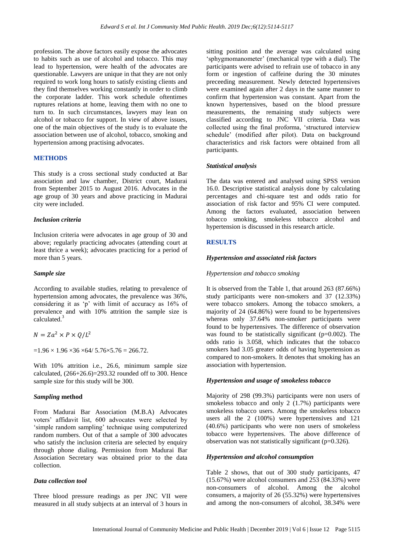profession. The above factors easily expose the advocates to habits such as use of alcohol and tobacco. This may lead to hypertension, were health of the advocates are questionable. Lawyers are unique in that they are not only required to work long hours to satisfy existing clients and they find themselves working constantly in order to climb the corporate ladder. This work schedule oftentimes ruptures relations at home, leaving them with no one to turn to. In such circumstances, lawyers may lean on alcohol or tobacco for support. In view of above issues, one of the main objectives of the study is to evaluate the association between use of alcohol, tobacco, smoking and hypertension among practising advocates.

## **METHODS**

This study is a cross sectional study conducted at Bar association and law chamber, District court, Madurai from September 2015 to August 2016. Advocates in the age group of 30 years and above practicing in Madurai city were included.

#### *Inclusion criteria*

Inclusion criteria were advocates in age group of 30 and above; regularly practicing advocates (attending court at least thrice a week); advocates practicing for a period of more than 5 years.

#### *Sample size*

According to available studies, relating to prevalence of hypertension among advocates, the prevalence was 36%, considering it as 'p' with limit of accuracy as 16% of prevalence and with 10% attrition the sample size is calculated.<sup>3</sup>

$$
N = Za^2 \times P \times Q/L^2
$$

 $=1.96 \times 1.96 \times 36 \times 64/5.76 \times 5.76 = 266.72.$ 

With 10% attrition i.e., 26.6, minimum sample size calculated,  $(266+26.6)=293.32$  rounded off to 300. Hence sample size for this study will be 300.

#### *Sampling* **method**

From Madurai Bar Association (M.B.A) Advocates voters' affidavit list, 600 advocates were selected by 'simple random sampling' technique using computerized random numbers. Out of that a sample of 300 advocates who satisfy the inclusion criteria are selected by enquiry through phone dialing. Permission from Madurai Bar Association Secretary was obtained prior to the data collection.

## *Data collection tool*

Three blood pressure readings as per JNC VII were measured in all study subjects at an interval of 3 hours in

sitting position and the average was calculated using 'sphygmomanometer' (mechanical type with a dial). The participants were advised to refrain use of tobacco in any form or ingestion of caffeine during the 30 minutes preceeding measurement. Newly detected hypertensives were examined again after 2 days in the same manner to confirm that hypertension was constant. Apart from the known hypertensives, based on the blood pressure measurements, the remaining study subjects were classified according to JNC VII criteria. Data was collected using the final proforma, 'structured interview schedule' (modified after pilot). Data on background characteristics and risk factors were obtained from all participants.

#### *Statistical analysis*

The data was entered and analysed using SPSS version 16.0. Descriptive statistical analysis done by calculating percentages and chi-square test and odds ratio for association of risk factor and 95% CI were computed. Among the factors evaluated, association between tobacco smoking, smokeless tobacco alcohol and hypertension is discussed in this research article.

## **RESULTS**

#### *Hypertension and associated risk factors*

#### *Hypertension and tobacco smoking*

It is observed from the Table 1, that around 263 (87.66%) study participants were non-smokers and 37 (12.33%) were tobacco smokers. Among the tobacco smokers, a majority of 24 (64.86%) were found to be hypertensives whereas only 37.64% non-smoker participants were found to be hypertensives. The difference of observation was found to be statistically significant (p=0.002). The odds ratio is 3.058, which indicates that the tobacco smokers had 3.05 greater odds of having hypertension as compared to non-smokers. It denotes that smoking has an association with hypertension.

#### *Hypertension and usage of smokeless tobacco*

Majority of 298 (99.3%) participants were non users of smokeless tobacco and only 2 (1.7%) participants were smokeless tobacco users. Among the smokeless tobacco users all the 2 (100%) were hypertensives and 121 (40.6%) participants who were non users of smokeless tobacco were hypertensives. The above difference of observation was not statistically significant (p=0.326).

#### *Hypertension and alcohol consumption*

Table 2 shows, that out of 300 study participants, 47 (15.67%) were alcohol consumers and 253 (84.33%) were non-consumers of alcohol. Among the alcohol consumers, a majority of 26 (55.32%) were hypertensives and among the non-consumers of alcohol, 38.34% were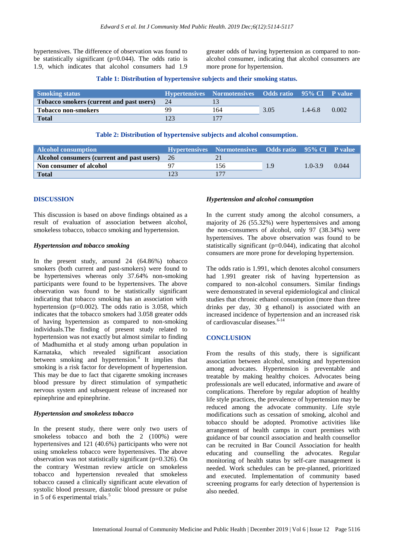hypertensives. The difference of observation was found to be statistically significant (p=0.044). The odds ratio is 1.9, which indicates that alcohol consumers had 1.9

greater odds of having hypertension as compared to nonalcohol consumer, indicating that alcohol consumers are more prone for hypertension.

#### **Table 1: Distribution of hypertensive subjects and their smoking status.**

| <b>Smoking status</b>                    |    | Hypertensives Normotensives Odds ratio 95% CI P value |      |             |       |
|------------------------------------------|----|-------------------------------------------------------|------|-------------|-------|
| Tobacco smokers (current and past users) | 24 |                                                       |      |             |       |
| <b>Tobacco non-smokers</b>               | 99 | 164                                                   | 3.05 | $1.4 - 6.8$ | 0.002 |
| <b>Total</b>                             |    |                                                       |      |             |       |

## **Table 2: Distribution of hypertensive subjects and alcohol consumption.**

| Alcohol consumption                        |     | Hypertensives Normotensives Odds ratio 95% CI P value |     |             |       |
|--------------------------------------------|-----|-------------------------------------------------------|-----|-------------|-------|
| Alcohol consumers (current and past users) | -26 |                                                       |     |             |       |
| Non consumer of alcohol                    |     | 156                                                   | 1.9 | $1.0 - 3.9$ | 0.044 |
| <b>Total</b>                               |     |                                                       |     |             |       |

## **DISCUSSION**

This discussion is based on above findings obtained as a result of evaluation of association between alcohol, smokeless tobacco, tobacco smoking and hypertension.

## *Hypertension and tobacco smoking*

In the present study, around 24 (64.86%) tobacco smokers (both current and past-smokers) were found to be hypertensives whereas only 37.64% non-smoking participants were found to be hypertensives. The above observation was found to be statistically significant indicating that tobacco smoking has an association with hypertension (p=0.002). The odds ratio is 3.058, which indicates that the tobacco smokers had 3.058 greater odds of having hypertension as compared to non-smoking individuals.The finding of present study related to hypertension was not exactly but almost similar to finding of Madhumitha et al study among urban population in Karnataka, which revealed significant association between smoking and hypertension.<sup>4</sup> It implies that smoking is a risk factor for development of hypertension. This may be due to fact that cigarette smoking increases blood pressure by direct stimulation of sympathetic nervous system and subsequent release of increased nor epinephrine and epinephrine.

## *Hypertension and smokeless tobacco*

In the present study, there were only two users of smokeless tobacco and both the 2 (100%) were hypertensives and 121 (40.6%) participants who were not using smokeless tobacco were hypertensives. The above observation was not statistically significant (p=0.326). On the contrary Westman review article on smokeless tobacco and hypertension revealed that smokeless tobacco caused a clinically significant acute elevation of systolic blood pressure, diastolic blood pressure or pulse in 5 of 6 experimental trials. $5$ 

## *Hypertension and alcohol consumption*

In the current study among the alcohol consumers, a majority of 26 (55.32%) were hypertensives and among the non-consumers of alcohol, only 97 (38.34%) were hypertensives. The above observation was found to be statistically significant (p=0.044), indicating that alcohol consumers are more prone for developing hypertension.

The odds ratio is 1.991, which denotes alcohol consumers had 1.991 greater risk of having hypertension as compared to non-alcohol consumers. Similar findings were demonstrated in several epidemiological and clinical studies that chronic ethanol consumption (more than three drinks per day, 30 g ethanol) is associated with an increased incidence of hypertension and an increased risk of cardiovascular diseases. 6-14

## **CONCLUSION**

From the results of this study, there is significant association between alcohol, smoking and hypertension among advocates. Hypertension is preventable and treatable by making healthy choices. Advocates being professionals are well educated, informative and aware of complications. Therefore by regular adoption of healthy life style practices, the prevalence of hypertension may be reduced among the advocate community. Life style modifications such as cessation of smoking, alcohol and tobacco should be adopted. Promotive activities like arrangement of health camps in court premises with guidance of bar council association and health counsellor can be recruited in Bar Council Association for health educating and counselling the advocates. Regular monitoring of health status by self-care management is needed. Work schedules can be pre-planned, prioritized and executed. Implementation of community based screening programs for early detection of hypertension is also needed.